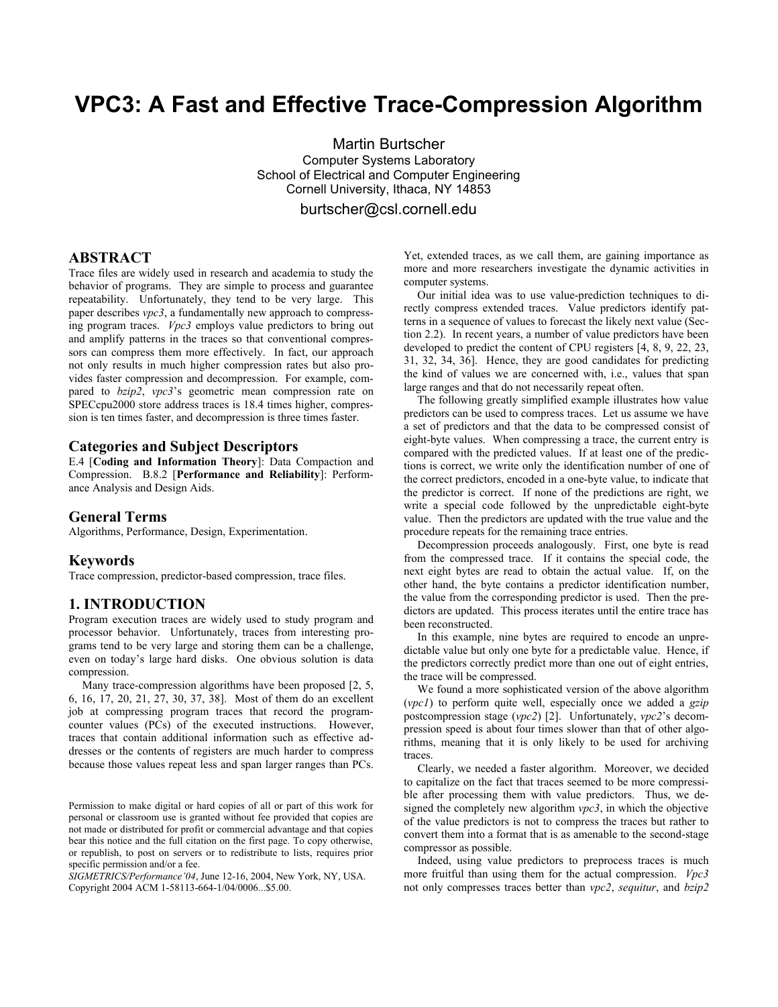# **VPC3: A Fast and Effective Trace-Compression Algorithm**

Martin Burtscher Computer Systems Laboratory School of Electrical and Computer Engineering Cornell University, Ithaca, NY 14853

burtscher@csl.cornell.edu

## **ABSTRACT**

Trace files are widely used in research and academia to study the behavior of programs. They are simple to process and guarantee repeatability. Unfortunately, they tend to be very large. This paper describes *vpc3*, a fundamentally new approach to compressing program traces. *Vpc3* employs value predictors to bring out and amplify patterns in the traces so that conventional compressors can compress them more effectively. In fact, our approach not only results in much higher compression rates but also provides faster compression and decompression. For example, compared to *bzip2*, *vpc3*'s geometric mean compression rate on SPECcpu2000 store address traces is 18.4 times higher, compression is ten times faster, and decompression is three times faster.

### **Categories and Subject Descriptors**

E.4 [**Coding and Information Theory**]: Data Compaction and Compression. B.8.2 [**Performance and Reliability**]: Performance Analysis and Design Aids.

### **General Terms**

Algorithms, Performance, Design, Experimentation.

#### **Keywords**

Trace compression, predictor-based compression, trace files.

## **1. INTRODUCTION**

Program execution traces are widely used to study program and processor behavior. Unfortunately, traces from interesting programs tend to be very large and storing them can be a challenge, even on today's large hard disks. One obvious solution is data compression.

Many trace-compression algorithms have been proposed [2, 5, 6, 16, 17, 20, 21, 27, 30, 37, 38]. Most of them do an excellent job at compressing program traces that record the programcounter values (PCs) of the executed instructions. However, traces that contain additional information such as effective addresses or the contents of registers are much harder to compress because those values repeat less and span larger ranges than PCs.

*SIGMETRICS/Performance'04*, June 12-16, 2004, New York, NY, USA. Copyright 2004 ACM 1-58113-664-1/04/0006...\$5.00.

Yet, extended traces, as we call them, are gaining importance as more and more researchers investigate the dynamic activities in computer systems.

Our initial idea was to use value-prediction techniques to directly compress extended traces. Value predictors identify patterns in a sequence of values to forecast the likely next value (Section 2.2). In recent years, a number of value predictors have been developed to predict the content of CPU registers [4, 8, 9, 22, 23, 31, 32, 34, 36]. Hence, they are good candidates for predicting the kind of values we are concerned with, i.e., values that span large ranges and that do not necessarily repeat often.

The following greatly simplified example illustrates how value predictors can be used to compress traces. Let us assume we have a set of predictors and that the data to be compressed consist of eight-byte values. When compressing a trace, the current entry is compared with the predicted values. If at least one of the predictions is correct, we write only the identification number of one of the correct predictors, encoded in a one-byte value, to indicate that the predictor is correct. If none of the predictions are right, we write a special code followed by the unpredictable eight-byte value. Then the predictors are updated with the true value and the procedure repeats for the remaining trace entries.

Decompression proceeds analogously. First, one byte is read from the compressed trace. If it contains the special code, the next eight bytes are read to obtain the actual value. If, on the other hand, the byte contains a predictor identification number, the value from the corresponding predictor is used. Then the predictors are updated. This process iterates until the entire trace has been reconstructed.

In this example, nine bytes are required to encode an unpredictable value but only one byte for a predictable value. Hence, if the predictors correctly predict more than one out of eight entries, the trace will be compressed.

We found a more sophisticated version of the above algorithm (*vpc1*) to perform quite well, especially once we added a *gzip* postcompression stage (*vpc2*) [2]. Unfortunately, *vpc2*'s decompression speed is about four times slower than that of other algorithms, meaning that it is only likely to be used for archiving traces.

Clearly, we needed a faster algorithm. Moreover, we decided to capitalize on the fact that traces seemed to be more compressible after processing them with value predictors. Thus, we designed the completely new algorithm *vpc3*, in which the objective of the value predictors is not to compress the traces but rather to convert them into a format that is as amenable to the second-stage compressor as possible.

Indeed, using value predictors to preprocess traces is much more fruitful than using them for the actual compression. *Vpc3* not only compresses traces better than *vpc2*, *sequitur*, and *bzip2*

Permission to make digital or hard copies of all or part of this work for personal or classroom use is granted without fee provided that copies are not made or distributed for profit or commercial advantage and that copies bear this notice and the full citation on the first page. To copy otherwise, or republish, to post on servers or to redistribute to lists, requires prior specific permission and/or a fee.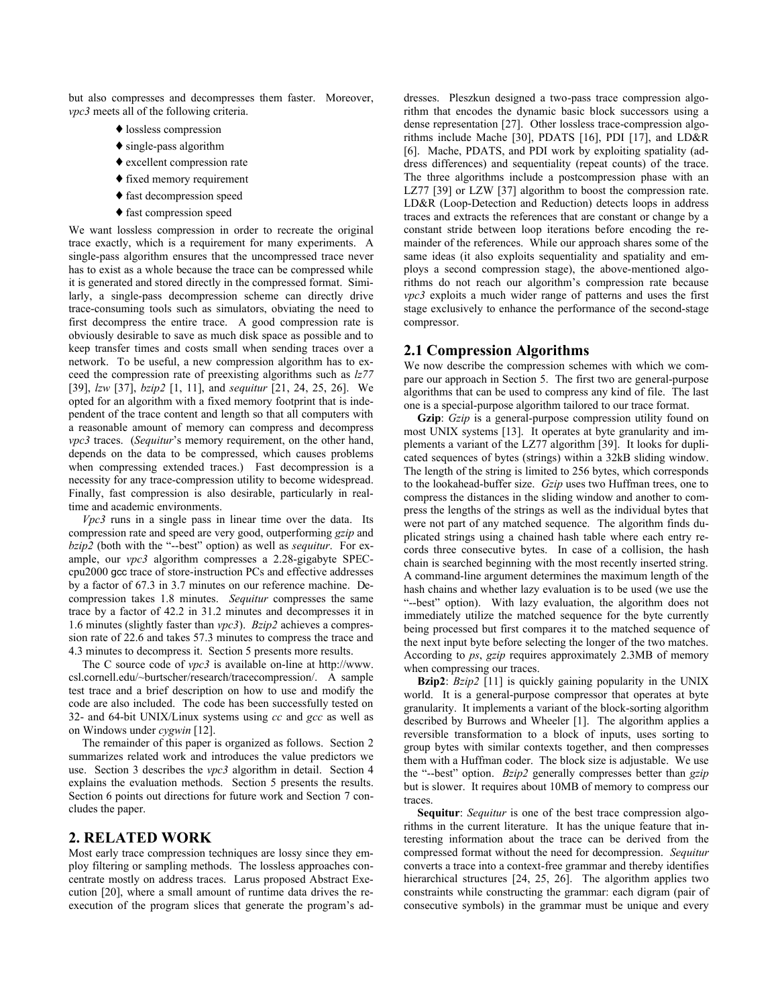but also compresses and decompresses them faster. Moreover, *vpc3* meets all of the following criteria.

- ♦ lossless compression
- $\bullet$  single-pass algorithm
- ♦ excellent compression rate
- ♦ fixed memory requirement
- ♦ fast decompression speed
- ♦ fast compression speed

We want lossless compression in order to recreate the original trace exactly, which is a requirement for many experiments. A single-pass algorithm ensures that the uncompressed trace never has to exist as a whole because the trace can be compressed while it is generated and stored directly in the compressed format. Similarly, a single-pass decompression scheme can directly drive trace-consuming tools such as simulators, obviating the need to first decompress the entire trace. A good compression rate is obviously desirable to save as much disk space as possible and to keep transfer times and costs small when sending traces over a network. To be useful, a new compression algorithm has to exceed the compression rate of preexisting algorithms such as *lz77* [39], *lzw* [37], *bzip2* [1, 11], and *sequitur* [21, 24, 25, 26]. We opted for an algorithm with a fixed memory footprint that is independent of the trace content and length so that all computers with a reasonable amount of memory can compress and decompress *vpc3* traces. (*Sequitur*'s memory requirement, on the other hand, depends on the data to be compressed, which causes problems when compressing extended traces.) Fast decompression is a necessity for any trace-compression utility to become widespread. Finally, fast compression is also desirable, particularly in realtime and academic environments.

*Vpc3* runs in a single pass in linear time over the data. Its compression rate and speed are very good, outperforming *gzip* and *bzip2* (both with the "--best" option) as well as *sequitur*. For example, our *vpc3* algorithm compresses a 2.28-gigabyte SPECcpu2000 gcc trace of store-instruction PCs and effective addresses by a factor of 67.3 in 3.7 minutes on our reference machine. Decompression takes 1.8 minutes. *Sequitur* compresses the same trace by a factor of 42.2 in 31.2 minutes and decompresses it in 1.6 minutes (slightly faster than *vpc3*). *Bzip2* achieves a compression rate of 22.6 and takes 57.3 minutes to compress the trace and 4.3 minutes to decompress it. Section 5 presents more results.

The C source code of *vpc3* is available on-line at http://www. csl.cornell.edu/~burtscher/research/tracecompression/. A sample test trace and a brief description on how to use and modify the code are also included. The code has been successfully tested on 32- and 64-bit UNIX/Linux systems using *cc* and *gcc* as well as on Windows under *cygwin* [12].

The remainder of this paper is organized as follows. Section 2 summarizes related work and introduces the value predictors we use. Section 3 describes the *vpc3* algorithm in detail. Section 4 explains the evaluation methods. Section 5 presents the results. Section 6 points out directions for future work and Section 7 concludes the paper.

#### **2. RELATED WORK**

Most early trace compression techniques are lossy since they employ filtering or sampling methods. The lossless approaches concentrate mostly on address traces. Larus proposed Abstract Execution [20], where a small amount of runtime data drives the reexecution of the program slices that generate the program's addresses. Pleszkun designed a two-pass trace compression algorithm that encodes the dynamic basic block successors using a dense representation [27]. Other lossless trace-compression algorithms include Mache [30], PDATS [16], PDI [17], and LD&R [6]. Mache, PDATS, and PDI work by exploiting spatiality (address differences) and sequentiality (repeat counts) of the trace. The three algorithms include a postcompression phase with an LZ77 [39] or LZW [37] algorithm to boost the compression rate. LD&R (Loop-Detection and Reduction) detects loops in address traces and extracts the references that are constant or change by a constant stride between loop iterations before encoding the remainder of the references. While our approach shares some of the same ideas (it also exploits sequentiality and spatiality and employs a second compression stage), the above-mentioned algorithms do not reach our algorithm's compression rate because *vpc3* exploits a much wider range of patterns and uses the first stage exclusively to enhance the performance of the second-stage compressor.

## **2.1 Compression Algorithms**

We now describe the compression schemes with which we compare our approach in Section 5. The first two are general-purpose algorithms that can be used to compress any kind of file. The last one is a special-purpose algorithm tailored to our trace format.

Gzip: *Gzip* is a general-purpose compression utility found on most UNIX systems [13]. It operates at byte granularity and implements a variant of the LZ77 algorithm [39]. It looks for duplicated sequences of bytes (strings) within a 32kB sliding window. The length of the string is limited to 256 bytes, which corresponds to the lookahead-buffer size. *Gzip* uses two Huffman trees, one to compress the distances in the sliding window and another to compress the lengths of the strings as well as the individual bytes that were not part of any matched sequence. The algorithm finds duplicated strings using a chained hash table where each entry records three consecutive bytes. In case of a collision, the hash chain is searched beginning with the most recently inserted string. A command-line argument determines the maximum length of the hash chains and whether lazy evaluation is to be used (we use the "--best" option). With lazy evaluation, the algorithm does not immediately utilize the matched sequence for the byte currently being processed but first compares it to the matched sequence of the next input byte before selecting the longer of the two matches. According to *ps*, *gzip* requires approximately 2.3MB of memory when compressing our traces.

**Bzip2**: *Bzip2* [11] is quickly gaining popularity in the UNIX world. It is a general-purpose compressor that operates at byte granularity. It implements a variant of the block-sorting algorithm described by Burrows and Wheeler [1]. The algorithm applies a reversible transformation to a block of inputs, uses sorting to group bytes with similar contexts together, and then compresses them with a Huffman coder. The block size is adjustable. We use the "--best" option. *Bzip2* generally compresses better than *gzip* but is slower. It requires about 10MB of memory to compress our traces.

**Sequitur**: *Sequitur* is one of the best trace compression algorithms in the current literature. It has the unique feature that interesting information about the trace can be derived from the compressed format without the need for decompression. *Sequitur* converts a trace into a context-free grammar and thereby identifies hierarchical structures [24, 25, 26]. The algorithm applies two constraints while constructing the grammar: each digram (pair of consecutive symbols) in the grammar must be unique and every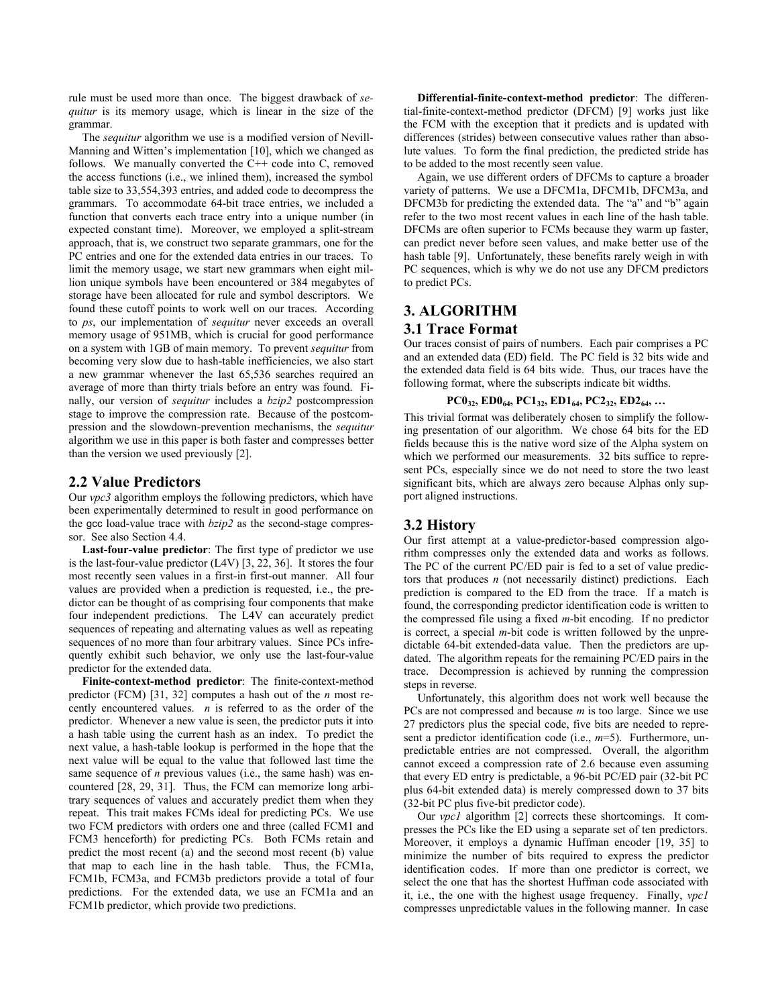rule must be used more than once. The biggest drawback of *sequitur* is its memory usage, which is linear in the size of the grammar.

The *sequitur* algorithm we use is a modified version of Nevill-Manning and Witten's implementation [10], which we changed as follows. We manually converted the C++ code into C, removed the access functions (i.e., we inlined them), increased the symbol table size to 33,554,393 entries, and added code to decompress the grammars. To accommodate 64-bit trace entries, we included a function that converts each trace entry into a unique number (in expected constant time). Moreover, we employed a split-stream approach, that is, we construct two separate grammars, one for the PC entries and one for the extended data entries in our traces. To limit the memory usage, we start new grammars when eight million unique symbols have been encountered or 384 megabytes of storage have been allocated for rule and symbol descriptors. We found these cutoff points to work well on our traces. According to *ps*, our implementation of *sequitur* never exceeds an overall memory usage of 951MB, which is crucial for good performance on a system with 1GB of main memory. To prevent *sequitur* from becoming very slow due to hash-table inefficiencies, we also start a new grammar whenever the last 65,536 searches required an average of more than thirty trials before an entry was found. Finally, our version of *sequitur* includes a *bzip2* postcompression stage to improve the compression rate. Because of the postcompression and the slowdown-prevention mechanisms, the *sequitur* algorithm we use in this paper is both faster and compresses better than the version we used previously [2].

## **2.2 Value Predictors**

Our *vpc3* algorithm employs the following predictors, which have been experimentally determined to result in good performance on the gcc load-value trace with *bzip2* as the second-stage compressor. See also Section 4.4.

**Last-four-value predictor**: The first type of predictor we use is the last-four-value predictor (L4V) [3, 22, 36]. It stores the four most recently seen values in a first-in first-out manner. All four values are provided when a prediction is requested, i.e., the predictor can be thought of as comprising four components that make four independent predictions. The L4V can accurately predict sequences of repeating and alternating values as well as repeating sequences of no more than four arbitrary values. Since PCs infrequently exhibit such behavior, we only use the last-four-value predictor for the extended data.

**Finite-context-method predictor**: The finite-context-method predictor (FCM) [31, 32] computes a hash out of the *n* most recently encountered values. *n* is referred to as the order of the predictor. Whenever a new value is seen, the predictor puts it into a hash table using the current hash as an index. To predict the next value, a hash-table lookup is performed in the hope that the next value will be equal to the value that followed last time the same sequence of *n* previous values (i.e., the same hash) was encountered [28, 29, 31]. Thus, the FCM can memorize long arbitrary sequences of values and accurately predict them when they repeat. This trait makes FCMs ideal for predicting PCs. We use two FCM predictors with orders one and three (called FCM1 and FCM3 henceforth) for predicting PCs. Both FCMs retain and predict the most recent (a) and the second most recent (b) value that map to each line in the hash table. Thus, the FCM1a, FCM1b, FCM3a, and FCM3b predictors provide a total of four predictions. For the extended data, we use an FCM1a and an FCM1b predictor, which provide two predictions.

**Differential-finite-context-method predictor**: The differential-finite-context-method predictor (DFCM) [9] works just like the FCM with the exception that it predicts and is updated with differences (strides) between consecutive values rather than absolute values. To form the final prediction, the predicted stride has to be added to the most recently seen value.

Again, we use different orders of DFCMs to capture a broader variety of patterns. We use a DFCM1a, DFCM1b, DFCM3a, and DFCM3b for predicting the extended data. The "a" and "b" again refer to the two most recent values in each line of the hash table. DFCMs are often superior to FCMs because they warm up faster, can predict never before seen values, and make better use of the hash table [9]. Unfortunately, these benefits rarely weigh in with PC sequences, which is why we do not use any DFCM predictors to predict PCs.

## **3. ALGORITHM**

## **3.1 Trace Format**

Our traces consist of pairs of numbers. Each pair comprises a PC and an extended data (ED) field. The PC field is 32 bits wide and the extended data field is 64 bits wide. Thus, our traces have the following format, where the subscripts indicate bit widths.

#### **PC032, ED064, PC132, ED164, PC232, ED264, …**

This trivial format was deliberately chosen to simplify the following presentation of our algorithm. We chose 64 bits for the ED fields because this is the native word size of the Alpha system on which we performed our measurements. 32 bits suffice to represent PCs, especially since we do not need to store the two least significant bits, which are always zero because Alphas only support aligned instructions.

#### **3.2 History**

Our first attempt at a value-predictor-based compression algorithm compresses only the extended data and works as follows. The PC of the current PC/ED pair is fed to a set of value predictors that produces *n* (not necessarily distinct) predictions. Each prediction is compared to the ED from the trace. If a match is found, the corresponding predictor identification code is written to the compressed file using a fixed *m*-bit encoding. If no predictor is correct, a special *m*-bit code is written followed by the unpredictable 64-bit extended-data value. Then the predictors are updated. The algorithm repeats for the remaining PC/ED pairs in the trace. Decompression is achieved by running the compression steps in reverse.

Unfortunately, this algorithm does not work well because the PCs are not compressed and because *m* is too large. Since we use 27 predictors plus the special code, five bits are needed to represent a predictor identification code (i.e., *m*=5). Furthermore, unpredictable entries are not compressed. Overall, the algorithm cannot exceed a compression rate of 2.6 because even assuming that every ED entry is predictable, a 96-bit PC/ED pair (32-bit PC plus 64-bit extended data) is merely compressed down to 37 bits (32-bit PC plus five-bit predictor code).

Our *vpc1* algorithm [2] corrects these shortcomings. It compresses the PCs like the ED using a separate set of ten predictors. Moreover, it employs a dynamic Huffman encoder [19, 35] to minimize the number of bits required to express the predictor identification codes. If more than one predictor is correct, we select the one that has the shortest Huffman code associated with it, i.e., the one with the highest usage frequency. Finally, *vpc1* compresses unpredictable values in the following manner. In case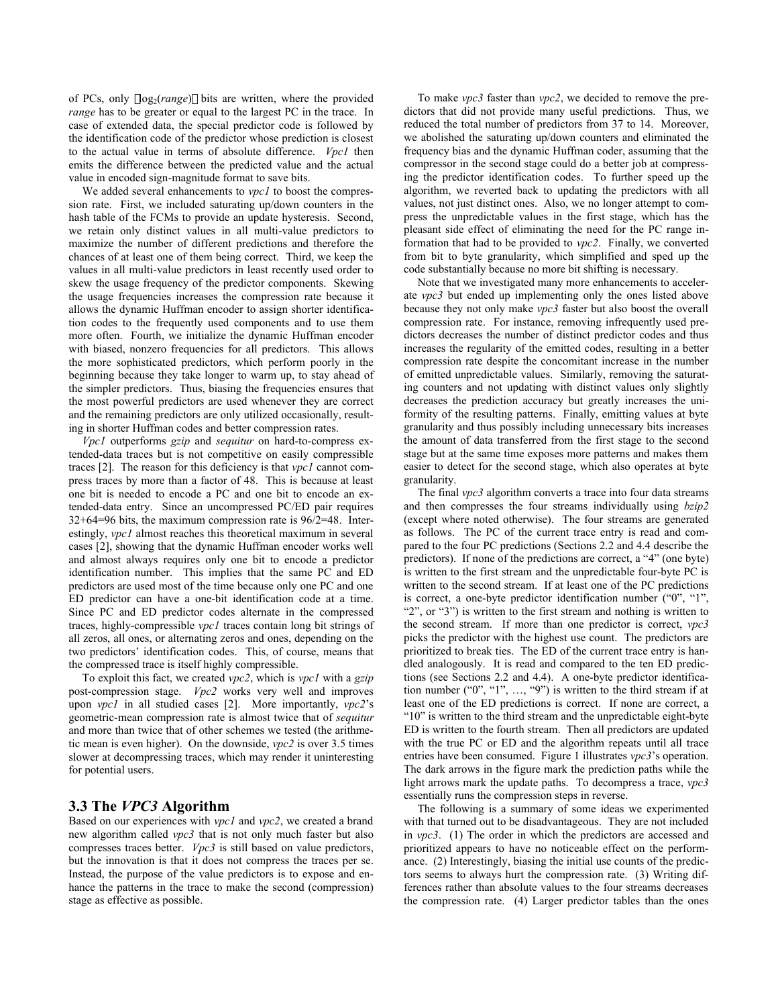of PCs, only  $\log_2(range)$  bits are written, where the provided *range* has to be greater or equal to the largest PC in the trace. In case of extended data, the special predictor code is followed by the identification code of the predictor whose prediction is closest to the actual value in terms of absolute difference. *Vpc1* then emits the difference between the predicted value and the actual value in encoded sign-magnitude format to save bits.

We added several enhancements to *vpc1* to boost the compression rate. First, we included saturating up/down counters in the hash table of the FCMs to provide an update hysteresis. Second, we retain only distinct values in all multi-value predictors to maximize the number of different predictions and therefore the chances of at least one of them being correct. Third, we keep the values in all multi-value predictors in least recently used order to skew the usage frequency of the predictor components. Skewing the usage frequencies increases the compression rate because it allows the dynamic Huffman encoder to assign shorter identification codes to the frequently used components and to use them more often. Fourth, we initialize the dynamic Huffman encoder with biased, nonzero frequencies for all predictors. This allows the more sophisticated predictors, which perform poorly in the beginning because they take longer to warm up, to stay ahead of the simpler predictors. Thus, biasing the frequencies ensures that the most powerful predictors are used whenever they are correct and the remaining predictors are only utilized occasionally, resulting in shorter Huffman codes and better compression rates.

*Vpc1* outperforms *gzip* and *sequitur* on hard-to-compress extended-data traces but is not competitive on easily compressible traces [2]. The reason for this deficiency is that *vpc1* cannot compress traces by more than a factor of 48. This is because at least one bit is needed to encode a PC and one bit to encode an extended-data entry. Since an uncompressed PC/ED pair requires 32+64=96 bits, the maximum compression rate is 96/2=48. Interestingly, *vpc1* almost reaches this theoretical maximum in several cases [2], showing that the dynamic Huffman encoder works well and almost always requires only one bit to encode a predictor identification number. This implies that the same PC and ED predictors are used most of the time because only one PC and one ED predictor can have a one-bit identification code at a time. Since PC and ED predictor codes alternate in the compressed traces, highly-compressible *vpc1* traces contain long bit strings of all zeros, all ones, or alternating zeros and ones, depending on the two predictors' identification codes. This, of course, means that the compressed trace is itself highly compressible.

To exploit this fact, we created *vpc2*, which is *vpc1* with a *gzip* post-compression stage. *Vpc2* works very well and improves upon *vpc1* in all studied cases [2]. More importantly, *vpc2*'s geometric-mean compression rate is almost twice that of *sequitur* and more than twice that of other schemes we tested (the arithmetic mean is even higher). On the downside, *vpc2* is over 3.5 times slower at decompressing traces, which may render it uninteresting for potential users.

#### **3.3 The** *VPC3* **Algorithm**

Based on our experiences with *vpc1* and *vpc2*, we created a brand new algorithm called *vpc3* that is not only much faster but also compresses traces better. *Vpc3* is still based on value predictors, but the innovation is that it does not compress the traces per se. Instead, the purpose of the value predictors is to expose and enhance the patterns in the trace to make the second (compression) stage as effective as possible.

To make *vpc3* faster than *vpc2*, we decided to remove the predictors that did not provide many useful predictions. Thus, we reduced the total number of predictors from 37 to 14. Moreover, we abolished the saturating up/down counters and eliminated the frequency bias and the dynamic Huffman coder, assuming that the compressor in the second stage could do a better job at compressing the predictor identification codes. To further speed up the algorithm, we reverted back to updating the predictors with all values, not just distinct ones. Also, we no longer attempt to compress the unpredictable values in the first stage, which has the pleasant side effect of eliminating the need for the PC range information that had to be provided to *vpc2*. Finally, we converted from bit to byte granularity, which simplified and sped up the code substantially because no more bit shifting is necessary.

Note that we investigated many more enhancements to accelerate *vpc3* but ended up implementing only the ones listed above because they not only make *vpc3* faster but also boost the overall compression rate. For instance, removing infrequently used predictors decreases the number of distinct predictor codes and thus increases the regularity of the emitted codes, resulting in a better compression rate despite the concomitant increase in the number of emitted unpredictable values. Similarly, removing the saturating counters and not updating with distinct values only slightly decreases the prediction accuracy but greatly increases the uniformity of the resulting patterns. Finally, emitting values at byte granularity and thus possibly including unnecessary bits increases the amount of data transferred from the first stage to the second stage but at the same time exposes more patterns and makes them easier to detect for the second stage, which also operates at byte granularity.

The final *vpc3* algorithm converts a trace into four data streams and then compresses the four streams individually using *bzip2* (except where noted otherwise). The four streams are generated as follows. The PC of the current trace entry is read and compared to the four PC predictions (Sections 2.2 and 4.4 describe the predictors). If none of the predictions are correct, a "4" (one byte) is written to the first stream and the unpredictable four-byte PC is written to the second stream. If at least one of the PC predictions is correct, a one-byte predictor identification number ("0", "1", "2", or "3") is written to the first stream and nothing is written to the second stream. If more than one predictor is correct, *vpc3* picks the predictor with the highest use count. The predictors are prioritized to break ties. The ED of the current trace entry is handled analogously. It is read and compared to the ten ED predictions (see Sections 2.2 and 4.4). A one-byte predictor identification number ("0", "1", …, "9") is written to the third stream if at least one of the ED predictions is correct. If none are correct, a "10" is written to the third stream and the unpredictable eight-byte ED is written to the fourth stream. Then all predictors are updated with the true PC or ED and the algorithm repeats until all trace entries have been consumed. Figure 1 illustrates *vpc3*'s operation. The dark arrows in the figure mark the prediction paths while the light arrows mark the update paths. To decompress a trace, *vpc3* essentially runs the compression steps in reverse.

The following is a summary of some ideas we experimented with that turned out to be disadvantageous. They are not included in *vpc3*. (1) The order in which the predictors are accessed and prioritized appears to have no noticeable effect on the performance. (2) Interestingly, biasing the initial use counts of the predictors seems to always hurt the compression rate. (3) Writing differences rather than absolute values to the four streams decreases the compression rate. (4) Larger predictor tables than the ones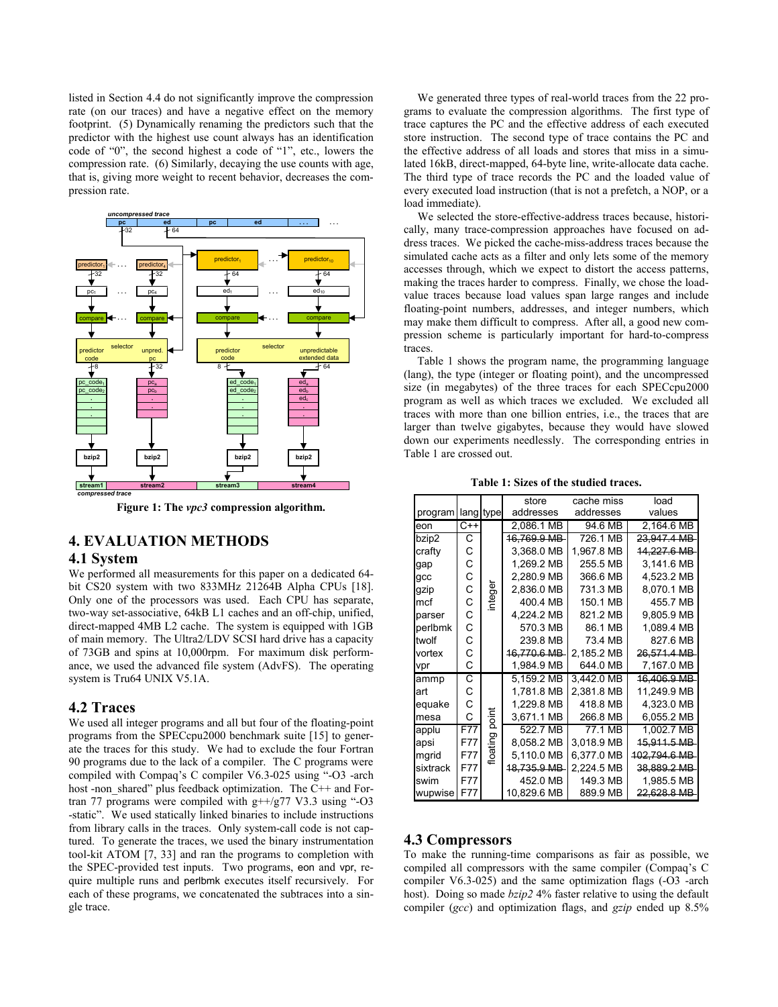listed in Section 4.4 do not significantly improve the compression rate (on our traces) and have a negative effect on the memory footprint. (5) Dynamically renaming the predictors such that the predictor with the highest use count always has an identification code of "0", the second highest a code of "1", etc., lowers the compression rate. (6) Similarly, decaying the use counts with age, that is, giving more weight to recent behavior, decreases the compression rate.



**Figure 1: The** *vpc3* **compression algorithm.**

## **4. EVALUATION METHODS**

#### **4.1 System**

We performed all measurements for this paper on a dedicated 64 bit CS20 system with two 833MHz 21264B Alpha CPUs [18]. Only one of the processors was used. Each CPU has separate, two-way set-associative, 64kB L1 caches and an off-chip, unified, direct-mapped 4MB L2 cache. The system is equipped with 1GB of main memory. The Ultra2/LDV SCSI hard drive has a capacity of 73GB and spins at 10,000rpm. For maximum disk performance, we used the advanced file system (AdvFS). The operating system is Tru64 UNIX V5.1A.

#### **4.2 Traces**

We used all integer programs and all but four of the floating-point programs from the SPECcpu2000 benchmark suite [15] to generate the traces for this study. We had to exclude the four Fortran 90 programs due to the lack of a compiler. The C programs were compiled with Compaq's C compiler V6.3-025 using "-O3 -arch host -non shared" plus feedback optimization. The C++ and Fortran 77 programs were compiled with  $g$ ++/g77 V3.3 using "-O3 -static". We used statically linked binaries to include instructions from library calls in the traces. Only system-call code is not captured. To generate the traces, we used the binary instrumentation tool-kit ATOM [7, 33] and ran the programs to completion with the SPEC-provided test inputs. Two programs, eon and vpr, require multiple runs and perlbmk executes itself recursively. For each of these programs, we concatenated the subtraces into a single trace.

We generated three types of real-world traces from the 22 programs to evaluate the compression algorithms. The first type of trace captures the PC and the effective address of each executed store instruction. The second type of trace contains the PC and the effective address of all loads and stores that miss in a simulated 16kB, direct-mapped, 64-byte line, write-allocate data cache. The third type of trace records the PC and the loaded value of every executed load instruction (that is not a prefetch, a NOP, or a load immediate).

We selected the store-effective-address traces because, historically, many trace-compression approaches have focused on address traces. We picked the cache-miss-address traces because the simulated cache acts as a filter and only lets some of the memory accesses through, which we expect to distort the access patterns, making the traces harder to compress. Finally, we chose the loadvalue traces because load values span large ranges and include floating-point numbers, addresses, and integer numbers, which may make them difficult to compress. After all, a good new compression scheme is particularly important for hard-to-compress traces.

Table 1 shows the program name, the programming language (lang), the type (integer or floating point), and the uncompressed size (in megabytes) of the three traces for each SPECcpu2000 program as well as which traces we excluded. We excluded all traces with more than one billion entries, i.e., the traces that are larger than twelve gigabytes, because they would have slowed down our experiments needlessly. The corresponding entries in Table 1 are crossed out.

**Table 1: Sizes of the studied traces.**

|          |       |           | store       | cache miss           | load         |  |  |
|----------|-------|-----------|-------------|----------------------|--------------|--|--|
| program  |       | lang type | addresses   | addresses            | values       |  |  |
| eon      | $C++$ |           | 2,086.1 MB  | $94.6 \overline{MB}$ | 2,164.6 MB   |  |  |
| bzip2    | C     |           | 16.769.9 MB | 726.1 MB             | 23.947.4 MB  |  |  |
| crafty   | С     |           | 3,368.0 MB  | 1,967.8 MB           | 14.227.6 MB  |  |  |
| gap      | C     |           | 1,269.2 MB  | 255.5 MB             | 3,141.6 MB   |  |  |
| gcc      | C     |           | 2,280.9 MB  | 366.6 MB             | 4,523.2 MB   |  |  |
| gzip     | C     |           | 2,836.0 MB  | 731.3 MB             | 8,070.1 MB   |  |  |
| mcf      | С     | integer   | 400.4 MB    | 150.1 MB             | 455.7 MB     |  |  |
| parser   | C     |           | 4,224.2 MB  | 821.2 MB             | 9,805.9 MB   |  |  |
| perlbmk  | Ċ     |           | 570.3 MB    | 86.1 MB              | 1,089.4 MB   |  |  |
| twolf    | Ċ     |           | 239.8 MB    | 73.4 MB              | 827.6 MB     |  |  |
| vortex   | Ċ     |           | 16.770.6 MB | 2.185.2 MB           | 26,571.4 MB  |  |  |
| vpr      | Ć     |           | 1,984.9 MB  | 644.0 MB             | 7,167.0 MB   |  |  |
| ammp     | С     |           | 5,159.2 MB  | 3,442.0 MB           | 16,406.9 MB  |  |  |
| art      | С     |           | 1.781.8 MB  | 2.381.8 MB           | 11.249.9 MB  |  |  |
| equake   | C     |           | 1,229.8 MB  | 418.8 MB             | 4,323.0 MB   |  |  |
| mesa     | C     | point     | 3,671.1 MB  | 266.8 MB             | 6,055.2 MB   |  |  |
| applu    | F77   |           | 522.7 MB    | 77.1 MB              | 1,002.7 MB   |  |  |
| apsi     | F77   | floating  | 8,058.2 MB  | 3,018.9 MB           | 15,911.5 MB  |  |  |
| mgrid    | F77   |           | 5,110.0 MB  | 6,377.0 MB           | 102,794.6 MB |  |  |
| sixtrack | F77   |           | 18.735.9 MB | 2.224.5 MB           | 38.889.2 MB  |  |  |
| swim     | F77   |           | 452.0 MB    | 149.3 MB             | 1,985.5 MB   |  |  |
| wupwise  | F77   |           | 10,829.6 MB | 889.9 MB             | 22,628.8 MB  |  |  |

## **4.3 Compressors**

To make the running-time comparisons as fair as possible, we compiled all compressors with the same compiler (Compaq's C compiler V6.3-025) and the same optimization flags (-O3 -arch host). Doing so made *bzip2* 4% faster relative to using the default compiler (*gcc*) and optimization flags, and *gzip* ended up 8.5%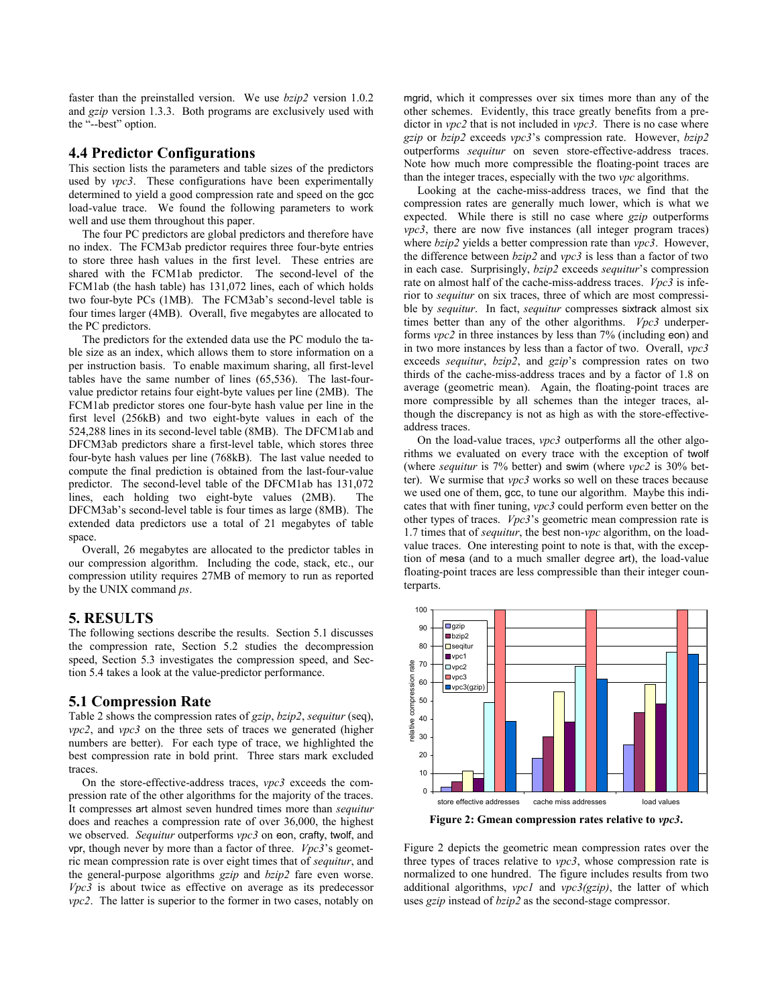faster than the preinstalled version. We use *bzip2* version 1.0.2 and *gzip* version 1.3.3. Both programs are exclusively used with the "--best" option.

## **4.4 Predictor Configurations**

This section lists the parameters and table sizes of the predictors used by *vpc3*. These configurations have been experimentally determined to yield a good compression rate and speed on the gcc load-value trace. We found the following parameters to work well and use them throughout this paper.

The four PC predictors are global predictors and therefore have no index. The FCM3ab predictor requires three four-byte entries to store three hash values in the first level. These entries are shared with the FCM1ab predictor. The second-level of the FCM1ab (the hash table) has 131,072 lines, each of which holds two four-byte PCs (1MB). The FCM3ab's second-level table is four times larger (4MB). Overall, five megabytes are allocated to the PC predictors.

The predictors for the extended data use the PC modulo the table size as an index, which allows them to store information on a per instruction basis. To enable maximum sharing, all first-level tables have the same number of lines (65,536). The last-fourvalue predictor retains four eight-byte values per line (2MB). The FCM1ab predictor stores one four-byte hash value per line in the first level (256kB) and two eight-byte values in each of the 524,288 lines in its second-level table (8MB). The DFCM1ab and DFCM3ab predictors share a first-level table, which stores three four-byte hash values per line (768kB). The last value needed to compute the final prediction is obtained from the last-four-value predictor. The second-level table of the DFCM1ab has 131,072 lines, each holding two eight-byte values (2MB). The DFCM3ab's second-level table is four times as large (8MB). The extended data predictors use a total of 21 megabytes of table space.

Overall, 26 megabytes are allocated to the predictor tables in our compression algorithm. Including the code, stack, etc., our compression utility requires 27MB of memory to run as reported by the UNIX command *ps*.

## **5. RESULTS**

The following sections describe the results. Section 5.1 discusses the compression rate, Section 5.2 studies the decompression speed, Section 5.3 investigates the compression speed, and Section 5.4 takes a look at the value-predictor performance.

#### **5.1 Compression Rate**

Table 2 shows the compression rates of *gzip*, *bzip2*, *sequitur* (seq), *vpc2*, and *vpc3* on the three sets of traces we generated (higher numbers are better). For each type of trace, we highlighted the best compression rate in bold print. Three stars mark excluded traces.

On the store-effective-address traces, *vpc3* exceeds the compression rate of the other algorithms for the majority of the traces. It compresses art almost seven hundred times more than *sequitur* does and reaches a compression rate of over 36,000, the highest we observed. *Sequitur* outperforms *vpc3* on eon, crafty, twolf, and vpr, though never by more than a factor of three. *Vpc3*'s geometric mean compression rate is over eight times that of *sequitur*, and the general-purpose algorithms *gzip* and *bzip2* fare even worse. *Vpc3* is about twice as effective on average as its predecessor *vpc2*. The latter is superior to the former in two cases, notably on

mgrid, which it compresses over six times more than any of the other schemes. Evidently, this trace greatly benefits from a predictor in *vpc2* that is not included in *vpc3*. There is no case where *gzip* or *bzip2* exceeds *vpc3*'s compression rate. However, *bzip2* outperforms *sequitur* on seven store-effective-address traces. Note how much more compressible the floating-point traces are than the integer traces, especially with the two *vpc* algorithms.

Looking at the cache-miss-address traces, we find that the compression rates are generally much lower, which is what we expected. While there is still no case where *gzip* outperforms *vpc3*, there are now five instances (all integer program traces) where *bzip2* yields a better compression rate than *vpc3*. However, the difference between *bzip2* and *vpc3* is less than a factor of two in each case. Surprisingly, *bzip2* exceeds *sequitur*'s compression rate on almost half of the cache-miss-address traces. *Vpc3* is inferior to *sequitur* on six traces, three of which are most compressible by *sequitur*. In fact, *sequitur* compresses sixtrack almost six times better than any of the other algorithms. *Vpc3* underperforms *vpc2* in three instances by less than 7% (including eon) and in two more instances by less than a factor of two. Overall, *vpc3* exceeds *sequitur*, *bzip2*, and *gzip*'s compression rates on two thirds of the cache-miss-address traces and by a factor of 1.8 on average (geometric mean). Again, the floating-point traces are more compressible by all schemes than the integer traces, although the discrepancy is not as high as with the store-effectiveaddress traces.

On the load-value traces, *vpc3* outperforms all the other algorithms we evaluated on every trace with the exception of twolf (where *sequitur* is 7% better) and swim (where *vpc2* is 30% better). We surmise that *vpc3* works so well on these traces because we used one of them, gcc, to tune our algorithm. Maybe this indicates that with finer tuning, *vpc3* could perform even better on the other types of traces. *Vpc3*'s geometric mean compression rate is 1.7 times that of *sequitur*, the best non-*vpc* algorithm, on the loadvalue traces. One interesting point to note is that, with the exception of mesa (and to a much smaller degree art), the load-value floating-point traces are less compressible than their integer counterparts.



**Figure 2: Gmean compression rates relative to** *vpc3***.**

Figure 2 depicts the geometric mean compression rates over the three types of traces relative to *vpc3*, whose compression rate is normalized to one hundred. The figure includes results from two additional algorithms, *vpc1* and *vpc3(gzip)*, the latter of which uses *gzip* instead of *bzip2* as the second-stage compressor.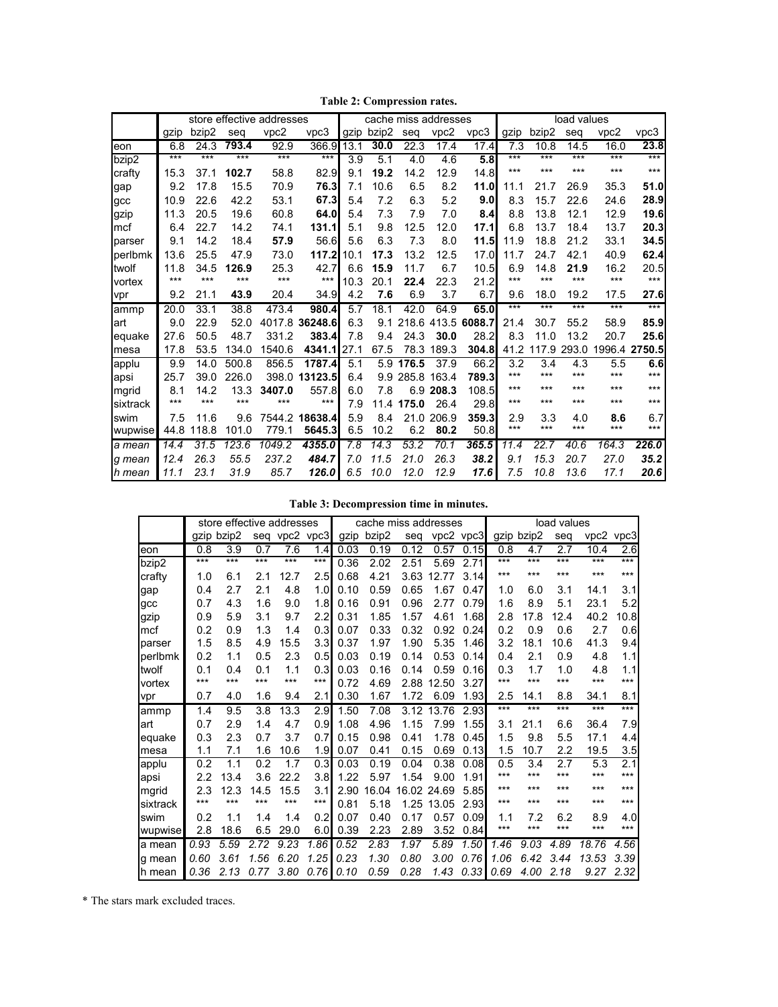|          | store effective addresses |       |       |        |                | cache miss addresses |       |       |       | load values |       |       |       |               |       |
|----------|---------------------------|-------|-------|--------|----------------|----------------------|-------|-------|-------|-------------|-------|-------|-------|---------------|-------|
|          | gzip                      | bzip2 | seg   | vpc2   | vpc3           | gzip                 | bzip2 | seq   | vpc2  | vpc3        | gzip  | bzip2 | seg   | vpc2          | vpc3  |
| leon     | 6.8                       | 24.3  | 793.4 | 92.9   | 366.9          | 13.1                 | 30.0  | 22.3  | 17.4  | 17.4        | 7.3   | 10.8  | 14.5  | 16.0          | 23.8  |
| bzip2    | $***$                     | ***   | $***$ | $***$  | $***$          | 3.9                  | 5.1   | 4.0   | 4.6   | 5.8         | $***$ | $***$ | $***$ | $***$         | $***$ |
| crafty   | 15.3                      | 37.1  | 102.7 | 58.8   | 82.9           | 9.1                  | 19.2  | 14.2  | 12.9  | 14.8        | ***   | ***   | ***   | $***$         | $***$ |
| gap      | 9.2                       | 17.8  | 15.5  | 70.9   | 76.3           | 7.1                  | 10.6  | 6.5   | 8.2   | 11.0        | 11.1  | 21.7  | 26.9  | 35.3          | 51.0  |
| gcc      | 10.9                      | 22.6  | 42.2  | 53.1   | 67.3           | 5.4                  | 7.2   | 6.3   | 5.2   | 9.0         | 8.3   | 15.7  | 22.6  | 24.6          | 28.9  |
| gzip     | 11.3                      | 20.5  | 19.6  | 60.8   | 64.0           | 5.4                  | 7.3   | 7.9   | 7.0   | 8.4         | 8.8   | 13.8  | 12.1  | 12.9          | 19.6  |
| mcf      | 6.4                       | 22.7  | 14.2  | 74.1   | 131.1          | 5.1                  | 9.8   | 12.5  | 12.0  | 17.1        | 6.8   | 13.7  | 18.4  | 13.7          | 20.3  |
| parser   | 9.1                       | 14.2  | 18.4  | 57.9   | 56.6           | 5.6                  | 6.3   | 7.3   | 8.0   | 11.5        | 11.9  | 18.8  | 21.2  | 33.1          | 34.5  |
| perlbmk  | 13.6                      | 25.5  | 47.9  | 73.0   | 117.2          | 10.1                 | 17.3  | 13.2  | 12.5  | 17.0        | 11.7  | 24.7  | 42.1  | 40.9          | 62.4  |
| twolf    | 11.8                      | 34.5  | 126.9 | 25.3   | 42.7           | 6.6                  | 15.9  | 11.7  | 6.7   | 10.5        | 6.9   | 14.8  | 21.9  | 16.2          | 20.5  |
| vortex   | ***                       | ***   | ***   | $***$  | $***$          | 10.3                 | 20.1  | 22.4  | 22.3  | 21.2        | ***   | ***   | ***   | $***$         | $***$ |
| vpr      | 9.2                       | 21.1  | 43.9  | 20.4   | 34.9           | 4.2                  | 7.6   | 6.9   | 3.7   | 6.7         | 9.6   | 18.0  | 19.2  | 17.5          | 27.6  |
| ammp     | 20.0                      | 33.1  | 38.8  | 473.4  | 980.4          | 5.7                  | 18.1  | 42.0  | 64.9  | 65.0        | $***$ | ***   | $***$ | $***$         | $***$ |
| lart     | 9.0                       | 22.9  | 52.0  | 4017.8 | 36248.6        | 6.3                  | 9.1   | 218.6 | 413.5 | 6088.7      | 21.4  | 30.7  | 55.2  | 58.9          | 85.9  |
| equake   | 27.6                      | 50.5  | 48.7  | 331.2  | 383.4          | 7.8                  | 9.4   | 24.3  | 30.0  | 28.2        | 8.3   | 11.0  | 13.2  | 20.7          | 25.6  |
| mesa     | 17.8                      | 53.5  | 134.0 | 1540.6 | 4341.1 27.1    |                      | 67.5  | 78.3  | 189.3 | 304.8       | 41.2  | 117.9 | 293.0 | 1996.4 2750.5 |       |
| applu    | 9.9                       | 14.0  | 500.8 | 856.5  | 1787.4         | 5.1                  | 5.9   | 176.5 | 37.9  | 66.2        | 3.2   | 3.4   | 4.3   | 5.5           | 6.6   |
| lapsi    | 25.7                      | 39.0  | 226.0 |        | 398.0 13123.5  | 6.4                  | 9.9   | 285.8 | 163.4 | 789.3       | ***   | ***   | $***$ | $***$         | $***$ |
| mgrid    | 8.1                       | 14.2  | 13.3  | 3407.0 | 557.8          | 6.0                  | 7.8   | 6.9   | 208.3 | 108.5       | ***   | ***   | ***   | $***$         | $***$ |
| sixtrack | ***                       | ***   | ***   | ***    | $***$          | 7.9                  | 11.4  | 175.0 | 26.4  | 29.8        | ***   | ***   | ***   | $***$         | $***$ |
| swim     | 7.5                       | 11.6  | 9.6   |        | 7544.2 18638.4 | 5.9                  | 8.4   | 21.0  | 206.9 | 359.3       | 2.9   | 3.3   | 4.0   | 8.6           | 6.7   |
| wupwise  | 44.8                      | 118.8 | 101.0 | 779.1  | 5645.3         | 6.5                  | 10.2  | 6.2   | 80.2  | 50.8        | $***$ | ***   | ***   | $***$         | $***$ |
| a mean   | 14.4                      | 31.5  | 123.6 | 1049.2 | 4355.0         | 7.8                  | 14.3  | 53.2  | 70.1  | 365.5       | 11.4  | 22.7  | 40.6  | 164.3         | 226.0 |
| g mean   | 12.4                      | 26.3  | 55.5  | 237.2  | 484.7          | 7.0                  | 11.5  | 21.0  | 26.3  | 38.2        | 9.1   | 15.3  | 20.7  | 27.0          | 35.2  |
| Ih mean  | 11.1                      | 23.1  | 31.9  | 85.7   | 126.0          | 6.5                  | 10.0  | 12.0  | 12.9  | 17.6        | 7.5   | 10.8  | 13.6  | 17.1          | 20.6  |

**Table 2: Compression rates.**

|  |  |  | Table 3: Decompression time in minutes. |
|--|--|--|-----------------------------------------|
|  |  |  |                                         |

|          | store effective addresses |       |       |               | cache miss addresses |      |       |       | load values |      |       |       |       |       |           |
|----------|---------------------------|-------|-------|---------------|----------------------|------|-------|-------|-------------|------|-------|-------|-------|-------|-----------|
|          | gzip                      | bzip2 |       | seq vpc2 vpc3 |                      | gzip | bzip2 | sea   | vpc2 vpc3   |      | gzip  | bzip2 | seq   |       | vpc2 vpc3 |
| eon      | 0.8                       | 3.9   | 0.7   | 7.6           | 1.4                  | 0.03 | 0.19  | 0.12  | 0.57        | 0.15 | 0.8   | 4.7   | 2.7   | 10.4  | 2.6       |
| bzip2    | $***$                     | $***$ | $***$ | $***$         | $***$                | 0.36 | 2.02  | 2.51  | 5.69        | 2.71 | $***$ | $***$ | $***$ | $***$ | $***$     |
| crafty   | 1.0                       | 6.1   | 2.1   | 12.7          | 2.5                  | 0.68 | 4.21  | 3.63  | 12.77       | 3.14 | ***   | ***   | ***   | $***$ | ***       |
| gap      | 0.4                       | 2.7   | 2.1   | 4.8           | 1.0                  | 0.10 | 0.59  | 0.65  | 1.67        | 0.47 | 1.0   | 6.0   | 3.1   | 14.1  | 3.1       |
| gcc      | 0.7                       | 4.3   | 1.6   | 9.0           | 1.8                  | 0.16 | 0.91  | 0.96  | 2.77        | 0.79 | 1.6   | 8.9   | 5.1   | 23.1  | 5.2       |
| gzip     | 0.9                       | 5.9   | 3.1   | 9.7           | 2.2                  | 0.31 | 1.85  | 1.57  | 4.61        | 1.68 | 2.8   | 17.8  | 12.4  | 40.2  | 10.8      |
| mcf      | 0.2                       | 0.9   | 1.3   | 1.4           | 0.3                  | 0.07 | 0.33  | 0.32  | 0.92        | 0.24 | 0.2   | 0.9   | 0.6   | 2.7   | 0.6       |
| parser   | 1.5                       | 8.5   | 4.9   | 15.5          | 3.3                  | 0.37 | 1.97  | 1.90  | 5.35        | 1.46 | 3.2   | 18.1  | 10.6  | 41.3  | 9.4       |
| perlbmk  | 0.2                       | 1.1   | 0.5   | 2.3           | 0.5                  | 0.03 | 0.19  | 0.14  | 0.53        | 0.14 | 0.4   | 2.1   | 0.9   | 4.8   | 1.1       |
| twolf    | 0.1                       | 0.4   | 0.1   | 1.1           | 0.3                  | 0.03 | 0.16  | 0.14  | 0.59        | 0.16 | 0.3   | 1.7   | 1.0   | 4.8   | 1.1       |
| vortex   | ***                       | ***   | ***   | ***           | $***$                | 0.72 | 4.69  | 2.88  | 12.50       | 3.27 | ***   | $***$ | ***   | $***$ | ***       |
| vpr      | 0.7                       | 4.0   | 1.6   | 9.4           | 2.1                  | 0.30 | 1.67  | 1.72  | 6.09        | 1.93 | 2.5   | 14.1  | 8.8   | 34.1  | 8.1       |
| ammp     | 1.4                       | 9.5   | 3.8   | 13.3          | 2.9                  | 1.50 | 7.08  | 3.12  | 13.76       | 2.93 | $***$ | $***$ | $***$ | $***$ | ***       |
| art      | 0.7                       | 2.9   | 1.4   | 4.7           | 0.9                  | 1.08 | 4.96  | 1.15  | 7.99        | 1.55 | 3.1   | 21.1  | 6.6   | 36.4  | 7.9       |
| equake   | 0.3                       | 2.3   | 0.7   | 3.7           | 0.7                  | 0.15 | 0.98  | 0.41  | 1.78        | 0.45 | 1.5   | 9.8   | 5.5   | 17.1  | 4.4       |
| mesa     | 1.1                       | 7.1   | 1.6   | 10.6          | 1.9                  | 0.07 | 0.41  | 0.15  | 0.69        | 0.13 | 1.5   | 10.7  | 2.2   | 19.5  | 3.5       |
| applu    | 0.2                       | 1.1   | 0.2   | 1.7           | 0.3                  | 0.03 | 0.19  | 0.04  | 0.38        | 0.08 | 0.5   | 3.4   | 2.7   | 5.3   | 2.1       |
| apsi     | 2.2                       | 13.4  | 3.6   | 22.2          | 3.8                  | 1.22 | 5.97  | 1.54  | 9.00        | 1.91 | ***   | $***$ | ***   | $***$ | ***       |
| mgrid    | 2.3                       | 12.3  | 14.5  | 15.5          | 3.1                  | 2.90 | 16.04 | 16.02 | 24.69       | 5.85 | ***   | ***   | ***   | ***   | ***       |
| sixtrack | ***                       | ***   | ***   | ***           | ***                  | 0.81 | 5.18  | 1.25  | 13.05       | 2.93 | $***$ | ***   | ***   | $***$ | ***       |
| swim     | 0.2                       | 1.1   | 1.4   | 1.4           | 0.2                  | 0.07 | 0.40  | 0.17  | 0.57        | 0.09 | 1.1   | 7.2   | 6.2   | 8.9   | 4.0       |
| wupwise  | 2.8                       | 18.6  | 6.5   | 29.0          | 6.0                  | 0.39 | 2.23  | 2.89  | 3.52        | 0.84 | ***   | ***   | ***   | ***   | ***       |
| a mean   | 0.93                      | 5.59  | 2.72  | 9.23          | 1.86                 | 0.52 | 2.83  | 1.97  | 5.89        | 1.50 | 1.46  | 9.03  | 4.89  | 18.76 | 4.56      |
| g mean   | 0.60                      | 3.61  | 1.56  | 6.20          | 1.25                 | 0.23 | 1.30  | 0.80  | 3.00        | 0.76 | 1.06  | 6.42  | 3.44  | 13.53 | 3.39      |
| h mean   | 0.36                      | 2.13  | 0.77  | 3.80          | 0.76                 | 0.10 | 0.59  | 0.28  | 1.43        | 0.33 | 0.69  | 4.00  | 2.18  | 9.27  | 2.32      |

\* The stars mark excluded traces.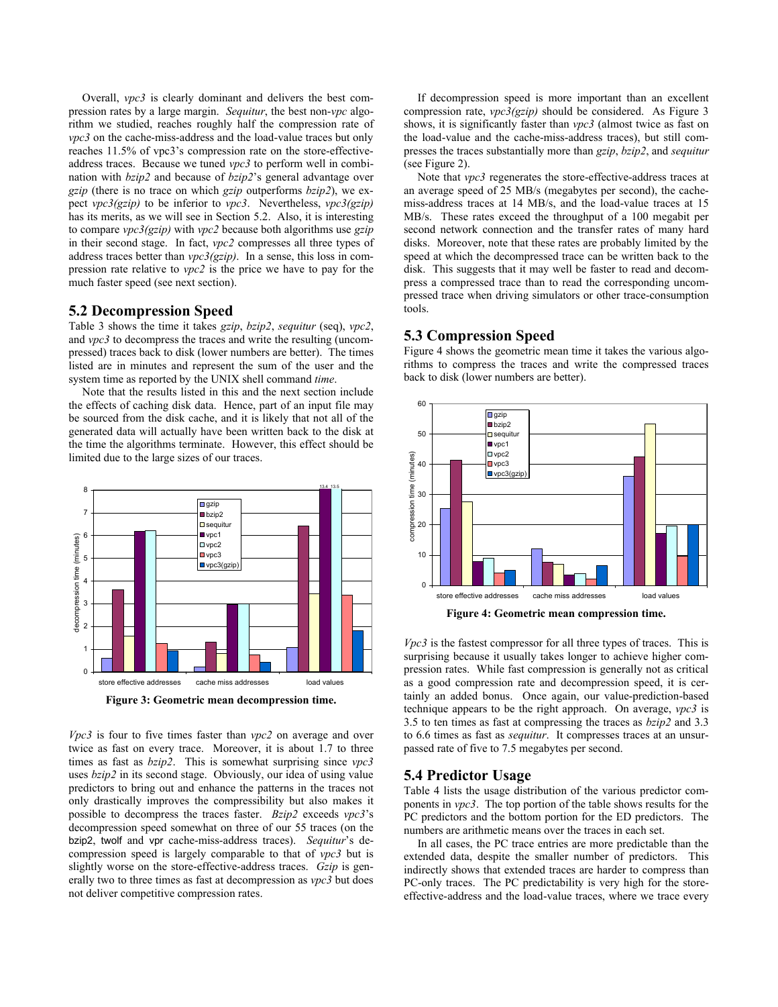Overall, *vpc3* is clearly dominant and delivers the best compression rates by a large margin. *Sequitur*, the best non-*vpc* algorithm we studied, reaches roughly half the compression rate of *vpc3* on the cache-miss-address and the load-value traces but only reaches 11.5% of vpc3's compression rate on the store-effectiveaddress traces. Because we tuned *vpc3* to perform well in combination with *bzip2* and because of *bzip2*'s general advantage over *gzip* (there is no trace on which *gzip* outperforms *bzip2*), we expect *vpc3(gzip)* to be inferior to *vpc3*. Nevertheless, *vpc3(gzip)* has its merits, as we will see in Section 5.2. Also, it is interesting to compare *vpc3(gzip)* with *vpc2* because both algorithms use *gzip* in their second stage. In fact, *vpc2* compresses all three types of address traces better than *vpc3(gzip)*. In a sense, this loss in compression rate relative to *vpc2* is the price we have to pay for the much faster speed (see next section).

#### **5.2 Decompression Speed**

Table 3 shows the time it takes *gzip*, *bzip2*, *sequitur* (seq), *vpc2*, and *vpc3* to decompress the traces and write the resulting (uncompressed) traces back to disk (lower numbers are better). The times listed are in minutes and represent the sum of the user and the system time as reported by the UNIX shell command *time*.

Note that the results listed in this and the next section include the effects of caching disk data. Hence, part of an input file may be sourced from the disk cache, and it is likely that not all of the generated data will actually have been written back to the disk at the time the algorithms terminate. However, this effect should be limited due to the large sizes of our traces.



**Figure 3: Geometric mean decompression time.**

*Vpc3* is four to five times faster than *vpc2* on average and over twice as fast on every trace. Moreover, it is about 1.7 to three times as fast as *bzip2*. This is somewhat surprising since *vpc3* uses *bzip2* in its second stage. Obviously, our idea of using value predictors to bring out and enhance the patterns in the traces not only drastically improves the compressibility but also makes it possible to decompress the traces faster. *Bzip2* exceeds *vpc3*'s decompression speed somewhat on three of our 55 traces (on the bzip2, twolf and vpr cache-miss-address traces). *Sequitur*'s decompression speed is largely comparable to that of *vpc3* but is slightly worse on the store-effective-address traces. *Gzip* is generally two to three times as fast at decompression as *vpc3* but does not deliver competitive compression rates.

If decompression speed is more important than an excellent compression rate, *vpc3(gzip)* should be considered. As Figure 3 shows, it is significantly faster than *vpc3* (almost twice as fast on the load-value and the cache-miss-address traces), but still compresses the traces substantially more than *gzip*, *bzip2*, and *sequitur* (see Figure 2).

Note that *vpc3* regenerates the store-effective-address traces at an average speed of 25 MB/s (megabytes per second), the cachemiss-address traces at 14 MB/s, and the load-value traces at 15 MB/s. These rates exceed the throughput of a 100 megabit per second network connection and the transfer rates of many hard disks. Moreover, note that these rates are probably limited by the speed at which the decompressed trace can be written back to the disk. This suggests that it may well be faster to read and decompress a compressed trace than to read the corresponding uncompressed trace when driving simulators or other trace-consumption tools.

#### **5.3 Compression Speed**

Figure 4 shows the geometric mean time it takes the various algorithms to compress the traces and write the compressed traces back to disk (lower numbers are better).



*Vpc3* is the fastest compressor for all three types of traces. This is surprising because it usually takes longer to achieve higher compression rates. While fast compression is generally not as critical as a good compression rate and decompression speed, it is certainly an added bonus. Once again, our value-prediction-based technique appears to be the right approach. On average, *vpc3* is 3.5 to ten times as fast at compressing the traces as *bzip2* and 3.3 to 6.6 times as fast as *sequitur*. It compresses traces at an unsurpassed rate of five to 7.5 megabytes per second.

#### **5.4 Predictor Usage**

Table 4 lists the usage distribution of the various predictor components in *vpc3*. The top portion of the table shows results for the PC predictors and the bottom portion for the ED predictors. The numbers are arithmetic means over the traces in each set.

In all cases, the PC trace entries are more predictable than the extended data, despite the smaller number of predictors. This indirectly shows that extended traces are harder to compress than PC-only traces. The PC predictability is very high for the storeeffective-address and the load-value traces, where we trace every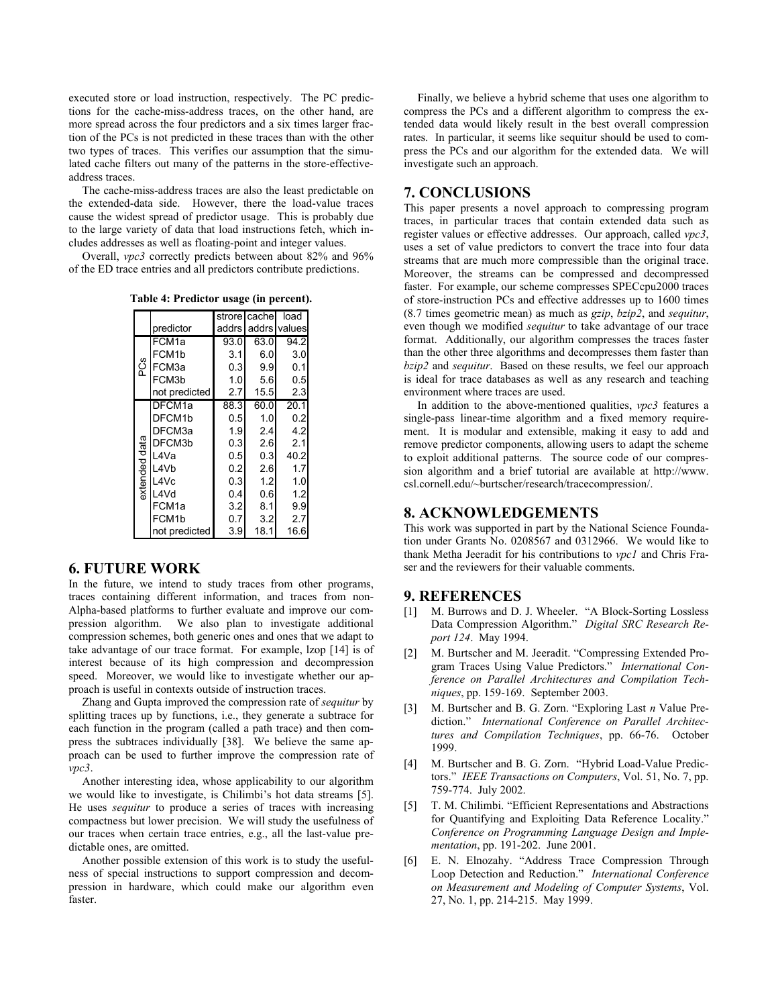executed store or load instruction, respectively. The PC predictions for the cache-miss-address traces, on the other hand, are more spread across the four predictors and a six times larger fraction of the PCs is not predicted in these traces than with the other two types of traces. This verifies our assumption that the simulated cache filters out many of the patterns in the store-effectiveaddress traces.

The cache-miss-address traces are also the least predictable on the extended-data side. However, there the load-value traces cause the widest spread of predictor usage. This is probably due to the large variety of data that load instructions fetch, which includes addresses as well as floating-point and integer values.

Overall, *vpc3* correctly predicts between about 82% and 96% of the ED trace entries and all predictors contribute predictions.

**Table 4: Predictor usage (in percent).**

|                 |                               |      | strore cache | load               |
|-----------------|-------------------------------|------|--------------|--------------------|
|                 | predictor                     |      |              | addrs addrs values |
|                 | FCM <sub>1a</sub>             | 93.0 | 63.0         | 94.2               |
|                 | FCM <sub>1</sub> b            | 3.1  | 6.0          | 3.0                |
| PC <sub>S</sub> | FCM3a                         | 0.3  | 9.9          | 0.1                |
|                 | FCM3b                         | 1.0  | 5.6          | 0.5                |
|                 | not predicted                 | 2.7  | 15.5         | 2.3                |
|                 | DFCM <sub>1a</sub>            | 88.3 | 60.0         | 20.1               |
|                 | DFCM1b                        | 0.5  | 1.0          | 0.2                |
|                 | DFCM3a                        | 1.9  | 2.4          | 4.2                |
| extended data   | DFCM3b                        | 0.3  | 2.6          | 2.1                |
|                 | L <sub>4</sub> Va             | 0.5  | 0.3          | 40.2               |
|                 | L <sub>4</sub> V <sub>b</sub> | 0.2  | 2.6          | 1.7                |
|                 | L4Vc                          | 0.3  | 1.2          | 1.0                |
|                 | L4Vd                          | 0.4  | 0.6          | 1.2                |
|                 | FCM <sub>1a</sub>             | 3.2  | 8.1          | 9.9                |
|                 | FCM <sub>1</sub> b            | 0.7  | 3.2          | 2.7                |
|                 | not predicted                 | 3.9  | 18.1         | 16.6               |

## **6. FUTURE WORK**

In the future, we intend to study traces from other programs, traces containing different information, and traces from non-Alpha-based platforms to further evaluate and improve our compression algorithm. We also plan to investigate additional compression schemes, both generic ones and ones that we adapt to take advantage of our trace format. For example, lzop [14] is of interest because of its high compression and decompression speed. Moreover, we would like to investigate whether our approach is useful in contexts outside of instruction traces.

Zhang and Gupta improved the compression rate of *sequitur* by splitting traces up by functions, i.e., they generate a subtrace for each function in the program (called a path trace) and then compress the subtraces individually [38]. We believe the same approach can be used to further improve the compression rate of *vpc3*.

Another interesting idea, whose applicability to our algorithm we would like to investigate, is Chilimbi's hot data streams [5]. He uses *sequitur* to produce a series of traces with increasing compactness but lower precision. We will study the usefulness of our traces when certain trace entries, e.g., all the last-value predictable ones, are omitted.

Another possible extension of this work is to study the usefulness of special instructions to support compression and decompression in hardware, which could make our algorithm even faster.

Finally, we believe a hybrid scheme that uses one algorithm to compress the PCs and a different algorithm to compress the extended data would likely result in the best overall compression rates. In particular, it seems like sequitur should be used to compress the PCs and our algorithm for the extended data. We will investigate such an approach.

## **7. CONCLUSIONS**

This paper presents a novel approach to compressing program traces, in particular traces that contain extended data such as register values or effective addresses. Our approach, called *vpc3*, uses a set of value predictors to convert the trace into four data streams that are much more compressible than the original trace. Moreover, the streams can be compressed and decompressed faster. For example, our scheme compresses SPECcpu2000 traces of store-instruction PCs and effective addresses up to 1600 times (8.7 times geometric mean) as much as *gzip*, *bzip2*, and *sequitur*, even though we modified *sequitur* to take advantage of our trace format. Additionally, our algorithm compresses the traces faster than the other three algorithms and decompresses them faster than *bzip2* and *sequitur*. Based on these results, we feel our approach is ideal for trace databases as well as any research and teaching environment where traces are used.

In addition to the above-mentioned qualities, *vpc3* features a single-pass linear-time algorithm and a fixed memory requirement. It is modular and extensible, making it easy to add and remove predictor components, allowing users to adapt the scheme to exploit additional patterns. The source code of our compression algorithm and a brief tutorial are available at http://www. csl.cornell.edu/~burtscher/research/tracecompression/.

## **8. ACKNOWLEDGEMENTS**

This work was supported in part by the National Science Foundation under Grants No. 0208567 and 0312966. We would like to thank Metha Jeeradit for his contributions to *vpc1* and Chris Fraser and the reviewers for their valuable comments.

#### **9. REFERENCES**

- [1] M. Burrows and D. J. Wheeler. "A Block-Sorting Lossless Data Compression Algorithm." *Digital SRC Research Report 124*. May 1994.
- [2] M. Burtscher and M. Jeeradit. "Compressing Extended Program Traces Using Value Predictors." *International Conference on Parallel Architectures and Compilation Techniques*, pp. 159-169. September 2003.
- [3] M. Burtscher and B. G. Zorn. "Exploring Last *n* Value Prediction." *International Conference on Parallel Architectures and Compilation Techniques*, pp. 66-76. October 1999.
- [4] M. Burtscher and B. G. Zorn. "Hybrid Load-Value Predictors." *IEEE Transactions on Computers*, Vol. 51, No. 7, pp. 759-774. July 2002.
- [5] T. M. Chilimbi. "Efficient Representations and Abstractions for Quantifying and Exploiting Data Reference Locality." *Conference on Programming Language Design and Implementation*, pp. 191-202. June 2001.
- [6] E. N. Elnozahy. "Address Trace Compression Through Loop Detection and Reduction." *International Conference on Measurement and Modeling of Computer Systems*, Vol. 27, No. 1, pp. 214-215. May 1999.